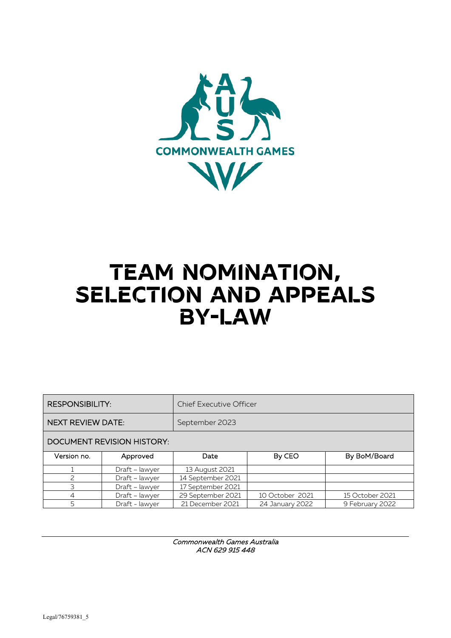

# **TEAM NOMINATION, SELECTION AND APPEALS BY-LAW**

| <b>RESPONSIBILITY:</b>            |                | <b>Chief Executive Officer</b> |                 |                 |
|-----------------------------------|----------------|--------------------------------|-----------------|-----------------|
| <b>NEXT REVIEW DATE:</b>          |                | September 2023                 |                 |                 |
| <b>DOCUMENT REVISION HISTORY:</b> |                |                                |                 |                 |
| Version no.                       | Approved       | Date                           | By CEO          | By BoM/Board    |
|                                   | Draft - lawyer | 13 August 2021                 |                 |                 |
|                                   | Draft - lawyer | 14 September 2021              |                 |                 |
| 3                                 | Draft - lawyer | 17 September 2021              |                 |                 |
| 4                                 | Draft - lawyer | 29 September 2021              | 10 October 2021 | 15 October 2021 |
| 5                                 | Draft - lawyer | 21 December 2021               | 24 January 2022 | 9 February 2022 |

Commonwealth Games Australia ACN 629 915 448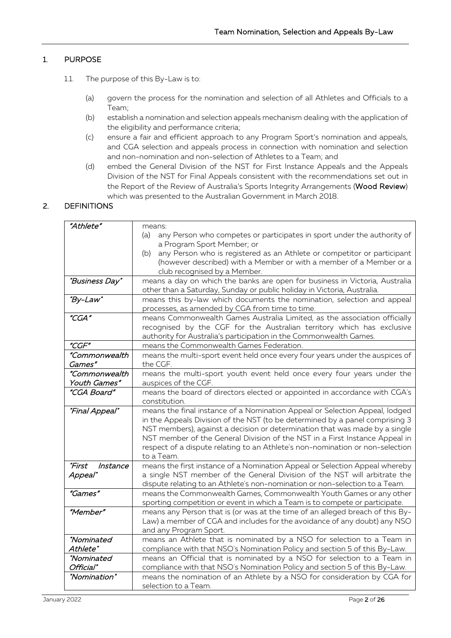## 1. PURPOSE

- 1.1. The purpose of this By-Law is to:
	- (a) govern the process for the nomination and selection of all Athletes and Officials to a Team;
	- (b) establish a nomination and selection appeals mechanism dealing with the application of the eligibility and performance criteria;
	- (c) ensure a fair and efficient approach to any Program Sport's nomination and appeals, and CGA selection and appeals process in connection with nomination and selection and non-nomination and non-selection of Athletes to a Team; and
	- (d) embed the General Division of the NST for First Instance Appeals and the Appeals Division of the NST for Final Appeals consistent with the recommendations set out in the Report of the Review of Australia's Sports Integrity Arrangements (Wood Review) which was presented to the Australian Government in March 2018.

## 2. DEFINITIONS

| "Athlete"          | means:                                                                         |
|--------------------|--------------------------------------------------------------------------------|
|                    | any Person who competes or participates in sport under the authority of<br>(a) |
|                    | a Program Sport Member; or                                                     |
|                    | any Person who is registered as an Athlete or competitor or participant<br>(b) |
|                    | (however described) with a Member or with a member of a Member or a            |
|                    | club recognised by a Member.                                                   |
| "Business Day"     | means a day on which the banks are open for business in Victoria, Australia    |
|                    | other than a Saturday, Sunday or public holiday in Victoria, Australia.        |
| "By-Law"           | means this by-law which documents the nomination, selection and appeal         |
|                    | processes, as amended by CGA from time to time.                                |
| "CGA"              | means Commonwealth Games Australia Limited, as the association officially      |
|                    | recognised by the CGF for the Australian territory which has exclusive         |
|                    | authority for Australia's participation in the Commonwealth Games.             |
| "CGF"              | means the Commonwealth Games Federation.                                       |
| "Commonwealth      | means the multi-sport event held once every four years under the auspices of   |
| Games"             | the CGF.                                                                       |
| "Commonwealth      | means the multi-sport youth event held once every four years under the         |
| Youth Games"       | auspices of the CGF.                                                           |
| "CGA Board"        | means the board of directors elected or appointed in accordance with CGA's     |
|                    | constitution.                                                                  |
| "Final Appeal"     | means the final instance of a Nomination Appeal or Selection Appeal, lodged    |
|                    | in the Appeals Division of the NST (to be determined by a panel comprising 3   |
|                    | NST members), against a decision or determination that was made by a single    |
|                    | NST member of the General Division of the NST in a First Instance Appeal in    |
|                    | respect of a dispute relating to an Athlete's non-nomination or non-selection  |
|                    | to a Team.                                                                     |
| "First<br>Instance | means the first instance of a Nomination Appeal or Selection Appeal whereby    |
| Appeal"            | a single NST member of the General Division of the NST will arbitrate the      |
|                    | dispute relating to an Athlete's non-nomination or non-selection to a Team.    |
| "Games"            | means the Commonwealth Games, Commonwealth Youth Games or any other            |
|                    | sporting competition or event in which a Team is to compete or participate.    |
| "Member"           | means any Person that is (or was at the time of an alleged breach of this By-  |
|                    | Law) a member of CGA and includes for the avoidance of any doubt) any NSO      |
|                    | and any Program Sport.                                                         |
| "Nominated         | means an Athlete that is nominated by a NSO for selection to a Team in         |
| Athlete"           | compliance with that NSO's Nomination Policy and section 5 of this By-Law.     |
| "Nominated         | means an Official that is nominated by a NSO for selection to a Team in        |
| Official"          | compliance with that NSO's Nomination Policy and section 5 of this By-Law.     |
| "Nomination"       | means the nomination of an Athlete by a NSO for consideration by CGA for       |
|                    | selection to a Team.                                                           |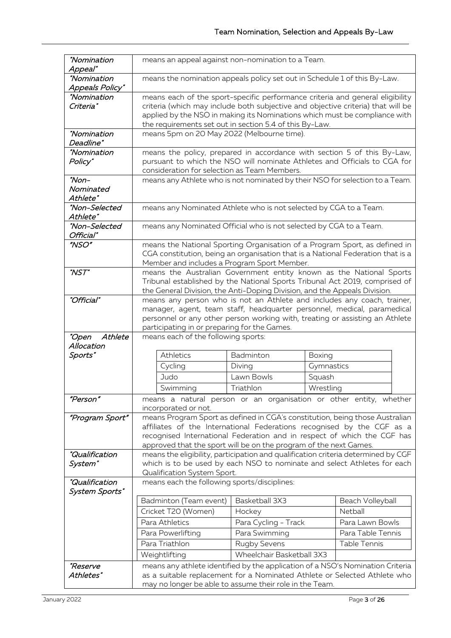| "Nomination                      | means an appeal against non-nomination to a Team.                                                                                                    |                           |            |                     |  |
|----------------------------------|------------------------------------------------------------------------------------------------------------------------------------------------------|---------------------------|------------|---------------------|--|
| Appeal"<br><i>"Nomination</i>    | means the nomination appeals policy set out in Schedule 1 of this By-Law.                                                                            |                           |            |                     |  |
| <b>Appeals Policy"</b>           |                                                                                                                                                      |                           |            |                     |  |
| "Nomination                      | means each of the sport-specific performance criteria and general eligibility                                                                        |                           |            |                     |  |
| Criteria"                        | criteria (which may include both subjective and objective criteria) that will be                                                                     |                           |            |                     |  |
|                                  | applied by the NSO in making its Nominations which must be compliance with                                                                           |                           |            |                     |  |
| <i>"Nomination</i>               | the requirements set out in section 5.4 of this By-Law.<br>means 5pm on 20 May 2022 (Melbourne time).                                                |                           |            |                     |  |
| Deadline"                        |                                                                                                                                                      |                           |            |                     |  |
| "Nomination                      | means the policy, prepared in accordance with section 5 of this By-Law,                                                                              |                           |            |                     |  |
| Policy"                          | pursuant to which the NSO will nominate Athletes and Officials to CGA for                                                                            |                           |            |                     |  |
|                                  | consideration for selection as Team Members.                                                                                                         |                           |            |                     |  |
| "Non-                            | means any Athlete who is not nominated by their NSO for selection to a Team.                                                                         |                           |            |                     |  |
| Nominated<br>Athlete"            |                                                                                                                                                      |                           |            |                     |  |
| "Non-Selected                    | means any Nominated Athlete who is not selected by CGA to a Team.                                                                                    |                           |            |                     |  |
| Athlete"                         |                                                                                                                                                      |                           |            |                     |  |
| "Non-Selected                    | means any Nominated Official who is not selected by CGA to a Team.                                                                                   |                           |            |                     |  |
| Official"<br>"NSO"               | means the National Sporting Organisation of a Program Sport, as defined in                                                                           |                           |            |                     |  |
|                                  | CGA constitution, being an organisation that is a National Federation that is a                                                                      |                           |            |                     |  |
|                                  | Member and includes a Program Sport Member.                                                                                                          |                           |            |                     |  |
| "NST"                            | means the Australian Government entity known as the National Sports                                                                                  |                           |            |                     |  |
|                                  | Tribunal established by the National Sports Tribunal Act 2019, comprised of                                                                          |                           |            |                     |  |
| "Official"                       | the General Division, the Anti-Doping Division, and the Appeals Division.<br>means any person who is not an Athlete and includes any coach, trainer, |                           |            |                     |  |
|                                  | manager, agent, team staff, headquarter personnel, medical, paramedical                                                                              |                           |            |                     |  |
|                                  | personnel or any other person working with, treating or assisting an Athlete                                                                         |                           |            |                     |  |
|                                  | participating in or preparing for the Games.                                                                                                         |                           |            |                     |  |
| Athlete<br>"Open<br>Allocation   | means each of the following sports:                                                                                                                  |                           |            |                     |  |
| Sports"                          | Athletics                                                                                                                                            | Badminton                 | Boxing     |                     |  |
|                                  | Cycling                                                                                                                                              | Diving                    | Gymnastics |                     |  |
|                                  | Judo                                                                                                                                                 | Lawn Bowls                | Squash     |                     |  |
|                                  | Swimming                                                                                                                                             | Triathlon                 | Wrestling  |                     |  |
| "Person"                         | means a natural person or an organisation or other entity, whether                                                                                   |                           |            |                     |  |
|                                  | incorporated or not.                                                                                                                                 |                           |            |                     |  |
| "Program Sport"                  | means Program Sport as defined in CGA's constitution, being those Australian                                                                         |                           |            |                     |  |
|                                  | affiliates of the International Federations recognised by the CGF as a<br>recognised International Federation and in respect of which the CGF has    |                           |            |                     |  |
|                                  | approved that the sport will be on the program of the next Games.                                                                                    |                           |            |                     |  |
| "Qualification                   | means the eligibility, participation and qualification criteria determined by CGF                                                                    |                           |            |                     |  |
| System"                          | which is to be used by each NSO to nominate and select Athletes for each                                                                             |                           |            |                     |  |
|                                  | Qualification System Sport.                                                                                                                          |                           |            |                     |  |
| "Qualification<br>System Sports" | means each the following sports/disciplines:                                                                                                         |                           |            |                     |  |
|                                  | Badminton (Team event)                                                                                                                               | <b>Basketball 3X3</b>     |            | Beach Volleyball    |  |
|                                  | Cricket T20 (Women)                                                                                                                                  | Hockey                    |            | Netball             |  |
|                                  | Para Athletics                                                                                                                                       | Para Cycling - Track      |            | Para Lawn Bowls     |  |
|                                  | Para Powerlifting                                                                                                                                    | Para Swimming             |            | Para Table Tennis   |  |
|                                  | Para Triathlon                                                                                                                                       | <b>Rugby Sevens</b>       |            | <b>Table Tennis</b> |  |
|                                  | Weightlifting                                                                                                                                        | Wheelchair Basketball 3X3 |            |                     |  |
| "Reserve                         | means any athlete identified by the application of a NSO's Nomination Criteria                                                                       |                           |            |                     |  |
| Athletes"                        | as a suitable replacement for a Nominated Athlete or Selected Athlete who                                                                            |                           |            |                     |  |
|                                  | may no longer be able to assume their role in the Team.                                                                                              |                           |            |                     |  |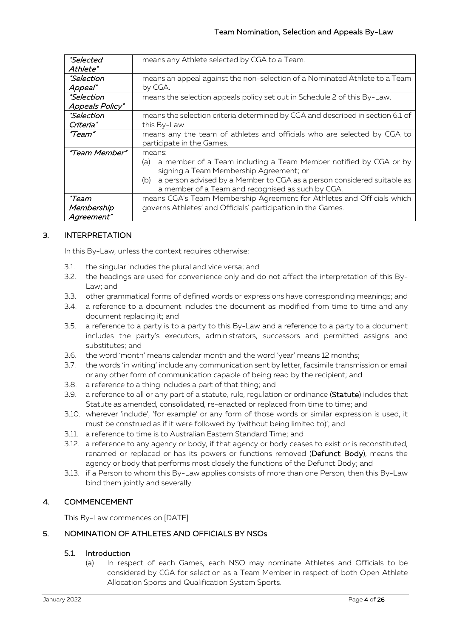| "Selected              | means any Athlete selected by CGA to a Team.                                   |
|------------------------|--------------------------------------------------------------------------------|
| Athlete"               |                                                                                |
| "Selection             | means an appeal against the non-selection of a Nominated Athlete to a Team     |
| Appeal"                | by CGA.                                                                        |
| "Selection             | means the selection appeals policy set out in Schedule 2 of this By-Law.       |
| <b>Appeals Policy"</b> |                                                                                |
| "Selection             | means the selection criteria determined by CGA and described in section 6.1 of |
| Criteria"              | this By-Law.                                                                   |
| "Team"                 | means any the team of athletes and officials who are selected by CGA to        |
|                        | participate in the Games.                                                      |
| "Team Member"          | means:                                                                         |
|                        | a member of a Team including a Team Member notified by CGA or by<br>(a)        |
|                        | signing a Team Membership Agreement; or                                        |
|                        | a person advised by a Member to CGA as a person considered suitable as<br>(b)  |
|                        | a member of a Team and recognised as such by CGA.                              |
| "Team                  | means CGA's Team Membership Agreement for Athletes and Officials which         |
| Membership             | governs Athletes' and Officials' participation in the Games.                   |
| Aareement"             |                                                                                |

## 3. INTERPRETATION

In this By-Law, unless the context requires otherwise:

- 3.1. the singular includes the plural and vice versa; and
- 3.2. the headings are used for convenience only and do not affect the interpretation of this By-Law; and
- 3.3. other grammatical forms of defined words or expressions have corresponding meanings; and
- 3.4. a reference to a document includes the document as modified from time to time and any document replacing it; and
- 3.5. a reference to a party is to a party to this By-Law and a reference to a party to a document includes the party's executors, administrators, successors and permitted assigns and substitutes; and
- 3.6. the word 'month' means calendar month and the word 'year' means 12 months;
- 3.7. the words 'in writing' include any communication sent by letter, facsimile transmission or email or any other form of communication capable of being read by the recipient; and
- 3.8. a reference to a thing includes a part of that thing; and
- 3.9. a reference to all or any part of a statute, rule, regulation or ordinance (Statute) includes that Statute as amended, consolidated, re-enacted or replaced from time to time; and
- 3.10. wherever 'include', 'for example' or any form of those words or similar expression is used, it must be construed as if it were followed by '(without being limited to)'; and
- 3.11. a reference to time is to Australian Eastern Standard Time; and
- 3.12. a reference to any agency or body, if that agency or body ceases to exist or is reconstituted, renamed or replaced or has its powers or functions removed (Defunct Body), means the agency or body that performs most closely the functions of the Defunct Body; and
- 3.13. if a Person to whom this By-Law applies consists of more than one Person, then this By-Law bind them jointly and severally.

## 4. COMMENCEMENT

This By-Law commences on [DATE]

#### <span id="page-3-0"></span>5. NOMINATION OF ATHLETES AND OFFICIALS BY NSOs

#### 5.1. Introduction

(a) In respect of each Games, each NSO may nominate Athletes and Officials to be considered by CGA for selection as a Team Member in respect of both Open Athlete Allocation Sports and Qualification System Sports.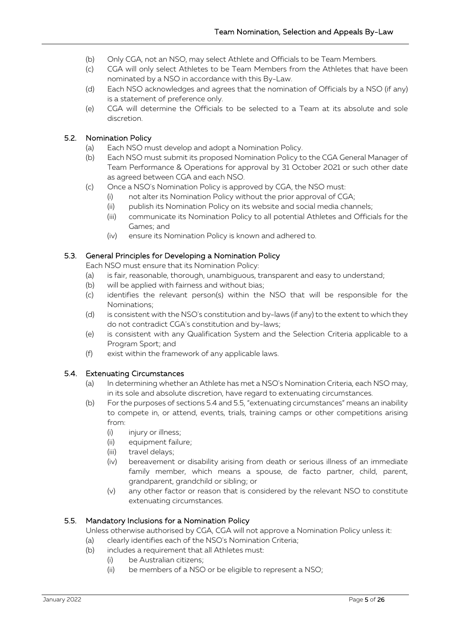- (b) Only CGA, not an NSO, may select Athlete and Officials to be Team Members.
- (c) CGA will only select Athletes to be Team Members from the Athletes that have been nominated by a NSO in accordance with this By-Law.
- (d) Each NSO acknowledges and agrees that the nomination of Officials by a NSO (if any) is a statement of preference only.
- (e) CGA will determine the Officials to be selected to a Team at its absolute and sole discretion.

## 5.2. Nomination Policy

- (a) Each NSO must develop and adopt a Nomination Policy.
- (b) Each NSO must submit its proposed Nomination Policy to the CGA General Manager of Team Performance & Operations for approval by 31 October 2021 or such other date as agreed between CGA and each NSO.
- (c) Once a NSO's Nomination Policy is approved by CGA, the NSO must:
	- (i) not alter its Nomination Policy without the prior approval of CGA;
	- (ii) publish its Nomination Policy on its website and social media channels;
	- (iii) communicate its Nomination Policy to all potential Athletes and Officials for the Games; and
	- (iv) ensure its Nomination Policy is known and adhered to.

## 5.3. General Principles for Developing a Nomination Policy

Each NSO must ensure that its Nomination Policy:

- (a) is fair, reasonable, thorough, unambiguous, transparent and easy to understand;
- (b) will be applied with fairness and without bias;
- (c) identifies the relevant person(s) within the NSO that will be responsible for the Nominations;
- (d) is consistent with the NSO's constitution and by-laws (if any) to the extent to which they do not contradict CGA's constitution and by-laws;
- (e) is consistent with any Qualification System and the Selection Criteria applicable to a Program Sport; and
- (f) exist within the framework of any applicable laws.

## <span id="page-4-0"></span>5.4. Extenuating Circumstances

- (a) In determining whether an Athlete has met a NSO's Nomination Criteria, each NSO may, in its sole and absolute discretion, have regard to extenuating circumstances.
- (b) For the purposes of section[s 5.4](#page-4-0) an[d 5.5,](#page-4-1) "extenuating circumstances" means an inability to compete in, or attend, events, trials, training camps or other competitions arising from:
	- (i) injury or illness;
	- (ii) equipment failure;
	- (iii) travel delays;
	- (iv) bereavement or disability arising from death or serious illness of an immediate family member, which means a spouse, de facto partner, child, parent, grandparent, grandchild or sibling; or
	- (v) any other factor or reason that is considered by the relevant NSO to constitute extenuating circumstances.

## <span id="page-4-1"></span>5.5. Mandatory Inclusions for a Nomination Policy

Unless otherwise authorised by CGA, CGA will not approve a Nomination Policy unless it:

- (a) clearly identifies each of the NSO's Nomination Criteria;
- (b) includes a requirement that all Athletes must:
	- (i) be Australian citizens;
	- (ii) be members of a NSO or be eligible to represent a NSO;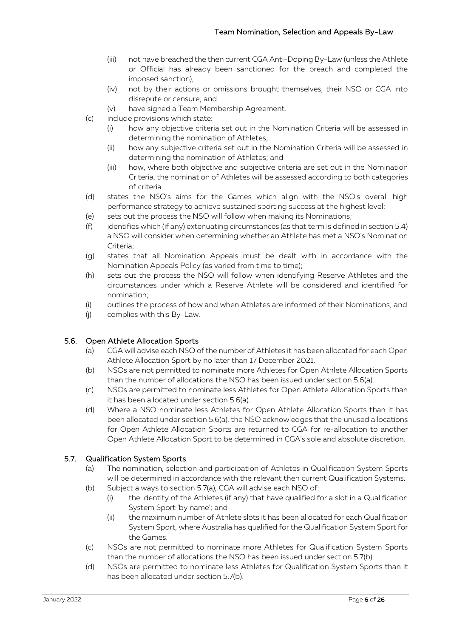- (iii) not have breached the then current CGA Anti-Doping By-Law (unless the Athlete or Official has already been sanctioned for the breach and completed the imposed sanction);
- (iv) not by their actions or omissions brought themselves, their NSO or CGA into disrepute or censure; and
- (v) have signed a Team Membership Agreement.
- (c) include provisions which state:
	- (i) how any objective criteria set out in the Nomination Criteria will be assessed in determining the nomination of Athletes;
	- (ii) how any subjective criteria set out in the Nomination Criteria will be assessed in determining the nomination of Athletes; and
	- (iii) how, where both objective and subjective criteria are set out in the Nomination Criteria, the nomination of Athletes will be assessed according to both categories of criteria.
- (d) states the NSO's aims for the Games which align with the NSO's overall high performance strategy to achieve sustained sporting success at the highest level;
- (e) sets out the process the NSO will follow when making its Nominations;
- (f) identifies which (if any) extenuating circumstances (as that term is defined in sectio[n 5.4\)](#page-4-0) a NSO will consider when determining whether an Athlete has met a NSO's Nomination Criteria;
- (g) states that all Nomination Appeals must be dealt with in accordance with the Nomination Appeals Policy (as varied from time to time);
- (h) sets out the process the NSO will follow when identifying Reserve Athletes and the circumstances under which a Reserve Athlete will be considered and identified for nomination;
- (i) outlines the process of how and when Athletes are informed of their Nominations; and
- (j) complies with this By-Law.

# <span id="page-5-0"></span>5.6. Open Athlete Allocation Sports

- (a) CGA will advise each NSO of the number of Athletes it has been allocated for each Open Athlete Allocation Sport by no later than 17 December 2021.
- (b) NSOs are not permitted to nominate more Athletes for Open Athlete Allocation Sports than the number of allocations the NSO has been issued under section [5.6\(a\).](#page-5-0)
- (c) NSOs are permitted to nominate less Athletes for Open Athlete Allocation Sports than it has been allocated under section [5.6\(a\).](#page-5-0)
- (d) Where a NSO nominate less Athletes for Open Athlete Allocation Sports than it has been allocated under section [5.6\(a\),](#page-5-0) the NSO acknowledges that the unused allocations for Open Athlete Allocation Sports are returned to CGA for re-allocation to another Open Athlete Allocation Sport to be determined in CGA's sole and absolute discretion.

# <span id="page-5-2"></span><span id="page-5-1"></span>5.7. Qualification System Sports

- (a) The nomination, selection and participation of Athletes in Qualification System Sports will be determined in accordance with the relevant then current Qualification Systems.
- (b) Subject always to section [5.7\(a\),](#page-5-1) CGA will advise each NSO of:
	- (i) the identity of the Athletes (if any) that have qualified for a slot in a Qualification System Sport 'by name'; and
	- (ii) the maximum number of Athlete slots it has been allocated for each Qualification System Sport, where Australia has qualified for the Qualification System Sport for the Games.
- (c) NSOs are not permitted to nominate more Athletes for Qualification System Sports than the number of allocations the NSO has been issued under section [5.7\(b\).](#page-5-2)
- (d) NSOs are permitted to nominate less Athletes for Qualification System Sports than it has been allocated under section [5.7\(b\).](#page-5-2)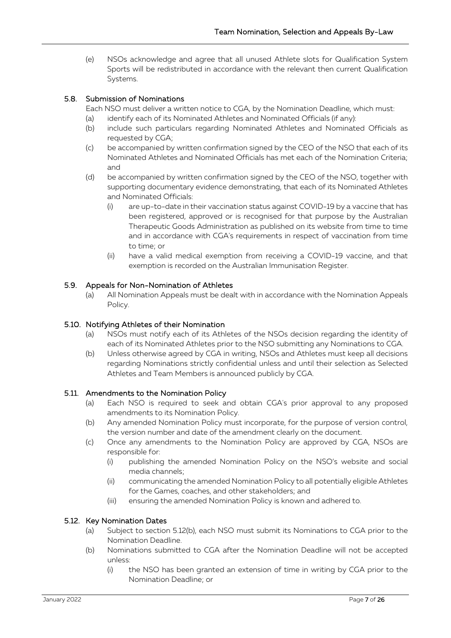(e) NSOs acknowledge and agree that all unused Athlete slots for Qualification System Sports will be redistributed in accordance with the relevant then current Qualification Systems.

## 5.8. Submission of Nominations

Each NSO must deliver a written notice to CGA, by the Nomination Deadline, which must:

- (a) identify each of its Nominated Athletes and Nominated Officials (if any):
- (b) include such particulars regarding Nominated Athletes and Nominated Officials as requested by CGA;
- (c) be accompanied by written confirmation signed by the CEO of the NSO that each of its Nominated Athletes and Nominated Officials has met each of the Nomination Criteria; and
- (d) be accompanied by written confirmation signed by the CEO of the NSO, together with supporting documentary evidence demonstrating, that each of its Nominated Athletes and Nominated Officials:
	- (i) are up-to-date in their vaccination status against COVID-19 by a vaccine that has been registered, approved or is recognised for that purpose by the Australian Therapeutic Goods Administration as published on its website from time to time and in accordance with CGA's requirements in respect of vaccination from time to time; or
	- (ii) have a valid medical exemption from receiving a COVID-19 vaccine, and that exemption is recorded on the Australian Immunisation Register.

## 5.9. Appeals for Non-Nomination of Athletes

(a) All Nomination Appeals must be dealt with in accordance with the Nomination Appeals Policy.

## 5.10. Notifying Athletes of their Nomination

- (a) NSOs must notify each of its Athletes of the NSOs decision regarding the identity of each of its Nominated Athletes prior to the NSO submitting any Nominations to CGA.
- (b) Unless otherwise agreed by CGA in writing, NSOs and Athletes must keep all decisions regarding Nominations strictly confidential unless and until their selection as Selected Athletes and Team Members is announced publicly by CGA.

#### 5.11. Amendments to the Nomination Policy

- (a) Each NSO is required to seek and obtain CGA's prior approval to any proposed amendments to its Nomination Policy.
- (b) Any amended Nomination Policy must incorporate, for the purpose of version control, the version number and date of the amendment clearly on the document.
- (c) Once any amendments to the Nomination Policy are approved by CGA, NSOs are responsible for:
	- (i) publishing the amended Nomination Policy on the NSO's website and social media channels;
	- (ii) communicating the amended Nomination Policy to all potentially eligible Athletes for the Games, coaches, and other stakeholders; and
	- (iii) ensuring the amended Nomination Policy is known and adhered to.

#### <span id="page-6-1"></span><span id="page-6-0"></span>5.12. Key Nomination Dates

- (a) Subject to section [5.12](#page-6-0)[\(b\),](#page-6-1) each NSO must submit its Nominations to CGA prior to the Nomination Deadline.
- (b) Nominations submitted to CGA after the Nomination Deadline will not be accepted unless:
	- (i) the NSO has been granted an extension of time in writing by CGA prior to the Nomination Deadline; or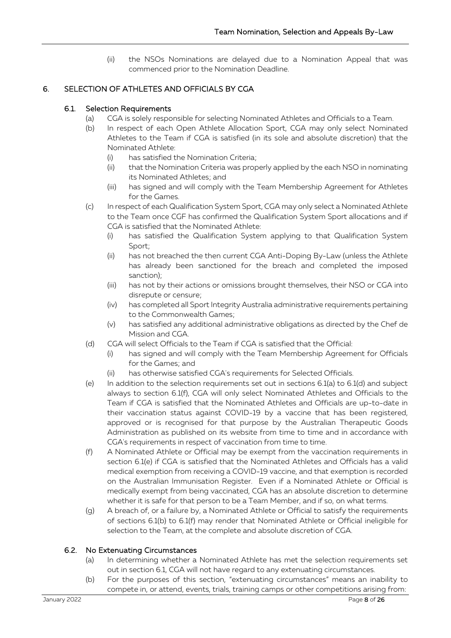(ii) the NSOs Nominations are delayed due to a Nomination Appeal that was commenced prior to the Nomination Deadline.

# <span id="page-7-0"></span>6. SELECTION OF ATHLETES AND OFFICIALS BY CGA

## <span id="page-7-5"></span><span id="page-7-1"></span>6.1. Selection Requirements

- (a) CGA is solely responsible for selecting Nominated Athletes and Officials to a Team.
- (b) In respect of each Open Athlete Allocation Sport, CGA may only select Nominated Athletes to the Team if CGA is satisfied (in its sole and absolute discretion) that the Nominated Athlete:
	- (i) has satisfied the Nomination Criteria;
	- (ii) that the Nomination Criteria was properly applied by the each NSO in nominating its Nominated Athletes; and
	- (iii) has signed and will comply with the Team Membership Agreement for Athletes for the Games.
- (c) In respect of each Qualification System Sport, CGA may only select a Nominated Athlete to the Team once CGF has confirmed the Qualification System Sport allocations and if CGA is satisfied that the Nominated Athlete:
	- (i) has satisfied the Qualification System applying to that Qualification System Sport;
	- (ii) has not breached the then current CGA Anti-Doping By-Law (unless the Athlete has already been sanctioned for the breach and completed the imposed sanction);
	- (iii) has not by their actions or omissions brought themselves, their NSO or CGA into disrepute or censure;
	- (iv) has completed all Sport Integrity Australia administrative requirements pertaining to the Commonwealth Games;
	- (v) has satisfied any additional administrative obligations as directed by the Chef de Mission and CGA.
- <span id="page-7-2"></span>(d) CGA will select Officials to the Team if CGA is satisfied that the Official:
	- (i) has signed and will comply with the Team Membership Agreement for Officials for the Games; and
	- (ii) has otherwise satisfied CGA's requirements for Selected Officials.
- <span id="page-7-4"></span>(e) In addition to the selection requirements set out in sections  $6.1(a)$  $6.1(a)$  to  $6.1(d)$  $6.1(d)$  and subject always to section [6.1](#page-7-0)[\(f\),](#page-7-3) CGA will only select Nominated Athletes and Officials to the Team if CGA is satisfied that the Nominated Athletes and Officials are up-to-date in their vaccination status against COVID-19 by a vaccine that has been registered, approved or is recognised for that purpose by the Australian Therapeutic Goods Administration as published on its website from time to time and in accordance with CGA's requirements in respect of vaccination from time to time.
- (f) A Nominated Athlete or Official may be exempt from the vaccination requirements in section [6.1\(](#page-7-0)[e\)](#page-7-4) if CGA is satisfied that the Nominated Athletes and Officials has a valid medical exemption from receiving a COVID-19 vaccine, and that exemption is recorded on the Australian Immunisation Register. Even if a Nominated Athlete or Official is medically exempt from being vaccinated, CGA has an absolute discretion to determine whether it is safe for that person to be a Team Member, and if so, on what terms.
- <span id="page-7-3"></span>(g) A breach of, or a failure by, a Nominated Athlete or Official to satisfy the requirements of sections [6.1\(b\)](#page-7-5) to [6.1](#page-7-0)[\(f\)](#page-7-3) may render that Nominated Athlete or Official ineligible for selection to the Team, at the complete and absolute discretion of CGA.

## 6.2. No Extenuating Circumstances

- (a) In determining whether a Nominated Athlete has met the selection requirements set out in section [6.1,](#page-7-0) CGA will not have regard to any extenuating circumstances.
- (b) For the purposes of this section, "extenuating circumstances" means an inability to compete in, or attend, events, trials, training camps or other competitions arising from: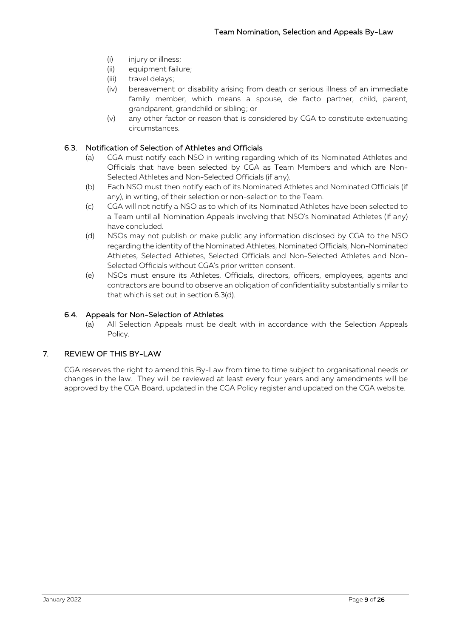- (i) injury or illness;
- (ii) equipment failure;
- (iii) travel delays;
- (iv) bereavement or disability arising from death or serious illness of an immediate family member, which means a spouse, de facto partner, child, parent, grandparent, grandchild or sibling; or
- (v) any other factor or reason that is considered by CGA to constitute extenuating circumstances.

## <span id="page-8-0"></span>6.3. Notification of Selection of Athletes and Officials

- (a) CGA must notify each NSO in writing regarding which of its Nominated Athletes and Officials that have been selected by CGA as Team Members and which are Non-Selected Athletes and Non-Selected Officials (if any).
- (b) Each NSO must then notify each of its Nominated Athletes and Nominated Officials (if any), in writing, of their selection or non-selection to the Team.
- (c) CGA will not notify a NSO as to which of its Nominated Athletes have been selected to a Team until all Nomination Appeals involving that NSO's Nominated Athletes (if any) have concluded.
- <span id="page-8-1"></span>(d) NSOs may not publish or make public any information disclosed by CGA to the NSO regarding the identity of the Nominated Athletes, Nominated Officials, Non-Nominated Athletes, Selected Athletes, Selected Officials and Non-Selected Athletes and Non-Selected Officials without CGA's prior written consent.
- (e) NSOs must ensure its Athletes, Officials, directors, officers, employees, agents and contractors are bound to observe an obligation of confidentiality substantially similar to that which is set out in section [6.3](#page-8-0)[\(d\).](#page-8-1)

## 6.4. Appeals for Non-Selection of Athletes

(a) All Selection Appeals must be dealt with in accordance with the Selection Appeals Policy.

## 7. REVIEW OF THIS BY-LAW

CGA reserves the right to amend this By-Law from time to time subject to organisational needs or changes in the law. They will be reviewed at least every four years and any amendments will be approved by the CGA Board, updated in the CGA Policy register and updated on the CGA website.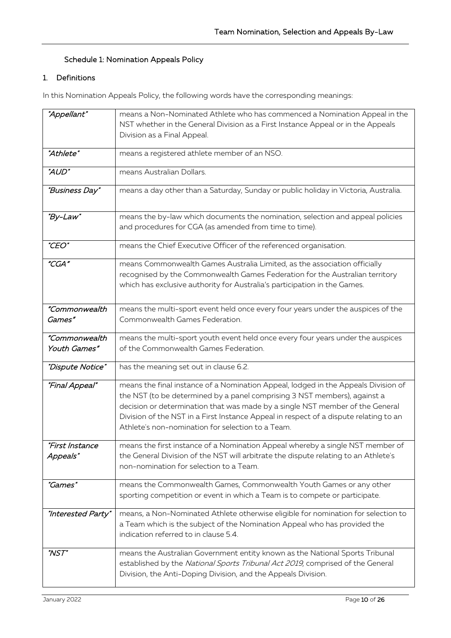# Schedule 1: Nomination Appeals Policy

## 1. Definitions

In this Nomination Appeals Policy, the following words have the corresponding meanings:

| "Appellant"                   | means a Non-Nominated Athlete who has commenced a Nomination Appeal in the                                                                                                                                                                                                                                                                                                                     |
|-------------------------------|------------------------------------------------------------------------------------------------------------------------------------------------------------------------------------------------------------------------------------------------------------------------------------------------------------------------------------------------------------------------------------------------|
|                               | NST whether in the General Division as a First Instance Appeal or in the Appeals<br>Division as a Final Appeal.                                                                                                                                                                                                                                                                                |
| "Athlete"                     | means a registered athlete member of an NSO.                                                                                                                                                                                                                                                                                                                                                   |
| "AUD"                         | means Australian Dollars.                                                                                                                                                                                                                                                                                                                                                                      |
| "Business Day"                | means a day other than a Saturday, Sunday or public holiday in Victoria, Australia.                                                                                                                                                                                                                                                                                                            |
| "By-Law"                      | means the by-law which documents the nomination, selection and appeal policies<br>and procedures for CGA (as amended from time to time).                                                                                                                                                                                                                                                       |
| "CEO"                         | means the Chief Executive Officer of the referenced organisation.                                                                                                                                                                                                                                                                                                                              |
| "CGA"                         | means Commonwealth Games Australia Limited, as the association officially<br>recognised by the Commonwealth Games Federation for the Australian territory<br>which has exclusive authority for Australia's participation in the Games.                                                                                                                                                         |
| "Commonwealth<br>Games"       | means the multi-sport event held once every four years under the auspices of the<br>Commonwealth Games Federation.                                                                                                                                                                                                                                                                             |
| "Commonwealth<br>Youth Games" | means the multi-sport youth event held once every four years under the auspices<br>of the Commonwealth Games Federation.                                                                                                                                                                                                                                                                       |
| "Dispute Notice"              | has the meaning set out in clause 6.2.                                                                                                                                                                                                                                                                                                                                                         |
| "Final Appeal"                | means the final instance of a Nomination Appeal, lodged in the Appeals Division of<br>the NST (to be determined by a panel comprising 3 NST members), against a<br>decision or determination that was made by a single NST member of the General<br>Division of the NST in a First Instance Appeal in respect of a dispute relating to an<br>Athlete's non-nomination for selection to a Team. |
| "First Instance<br>Appeals"   | means the first instance of a Nomination Appeal whereby a single NST member of<br>the General Division of the NST will arbitrate the dispute relating to an Athlete's<br>non-nomination for selection to a Team.                                                                                                                                                                               |
| "Games"                       | means the Commonwealth Games, Commonwealth Youth Games or any other<br>sporting competition or event in which a Team is to compete or participate.                                                                                                                                                                                                                                             |
| "Interested Party"            | means, a Non-Nominated Athlete otherwise eligible for nomination for selection to<br>a Team which is the subject of the Nomination Appeal who has provided the<br>indication referred to in clause 5.4.                                                                                                                                                                                        |
| "NST"                         | means the Australian Government entity known as the National Sports Tribunal<br>established by the National Sports Tribunal Act 2019, comprised of the General<br>Division, the Anti-Doping Division, and the Appeals Division.                                                                                                                                                                |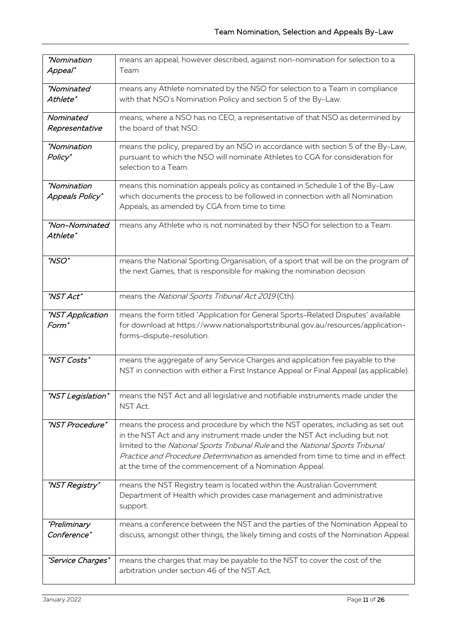| "Nomination<br>Appeal"                       | means an appeal, however described, against non-nomination for selection to a<br>Team                                                                                                                                                                                                                                                                                                        |
|----------------------------------------------|----------------------------------------------------------------------------------------------------------------------------------------------------------------------------------------------------------------------------------------------------------------------------------------------------------------------------------------------------------------------------------------------|
| "Nominated<br>Athlete"                       | means any Athlete nominated by the NSO for selection to a Team in compliance<br>with that NSO's Nomination Policy and section 5 of the By-Law.                                                                                                                                                                                                                                               |
| Nominated<br>Representative                  | means, where a NSO has no CEO, a representative of that NSO as determined by<br>the board of that NSO.                                                                                                                                                                                                                                                                                       |
| "Nomination<br>Policy"                       | means the policy, prepared by an NSO in accordance with section 5 of the By-Law,<br>pursuant to which the NSO will nominate Athletes to CGA for consideration for<br>selection to a Team.                                                                                                                                                                                                    |
| <i>"Nomination</i><br><b>Appeals Policy"</b> | means this nomination appeals policy as contained in Schedule 1 of the By-Law<br>which documents the process to be followed in connection with all Nomination<br>Appeals, as amended by CGA from time to time.                                                                                                                                                                               |
| "Non-Nominated<br>Athlete"                   | means any Athlete who is not nominated by their NSO for selection to a Team.                                                                                                                                                                                                                                                                                                                 |
| "NSO"                                        | means the National Sporting Organisation, of a sport that will be on the program of<br>the next Games, that is responsible for making the nomination decision.                                                                                                                                                                                                                               |
| "NST Act"                                    | means the National Sports Tribunal Act 2019 (Cth).                                                                                                                                                                                                                                                                                                                                           |
| "NST Application<br>Form"                    | means the form titled "Application for General Sports-Related Disputes" available<br>for download at https://www.nationalsportstribunal.gov.au/resources/application-<br>forms-dispute-resolution.                                                                                                                                                                                           |
| "NST Costs"                                  | means the aggregate of any Service Charges and application fee payable to the<br>NST in connection with either a First Instance Appeal or Final Appeal (as applicable).                                                                                                                                                                                                                      |
| "NST Legislation"                            | means the NST Act and all legislative and notifiable instruments made under the<br>NST Act.                                                                                                                                                                                                                                                                                                  |
| "NST Procedure"                              | means the process and procedure by which the NST operates, including as set out<br>in the NST Act and any instrument made under the NST Act including but not<br>limited to the National Sports Tribunal Rule and the National Sports Tribunal<br>Practice and Procedure Determination as amended from time to time and in effect<br>at the time of the commencement of a Nomination Appeal. |
| "NST Registry"                               | means the NST Registry team is located within the Australian Government<br>Department of Health which provides case management and administrative<br>support.                                                                                                                                                                                                                                |
| "Preliminary<br>Conference"                  | means a conference between the NST and the parties of the Nomination Appeal to<br>discuss, amongst other things, the likely timing and costs of the Nomination Appeal.                                                                                                                                                                                                                       |
| "Service Charges"                            | means the charges that may be payable to the NST to cover the cost of the<br>arbitration under section 46 of the NST Act.                                                                                                                                                                                                                                                                    |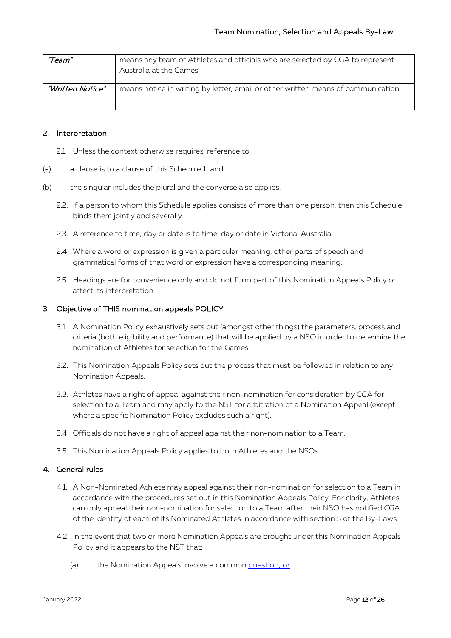| "Team"           | means any team of Athletes and officials who are selected by CGA to represent<br>Australia at the Games. |
|------------------|----------------------------------------------------------------------------------------------------------|
| "Written Notice" | means notice in writing by letter, email or other written means of communication.                        |

#### 2. Interpretation

- 2.1. Unless the context otherwise requires, reference to:
- (a) a clause is to a clause of this Schedule 1; and
- (b) the singular includes the plural and the converse also applies.
	- 2.2. If a person to whom this Schedule applies consists of more than one person, then this Schedule binds them jointly and severally.
	- 2.3. A reference to time, day or date is to time, day or date in Victoria, Australia.
	- 2.4. Where a word or expression is given a particular meaning, other parts of speech and grammatical forms of that word or expression have a corresponding meaning.
	- 2.5. Headings are for convenience only and do not form part of this Nomination Appeals Policy or affect its interpretation.

#### 3. Objective of THIS nomination appeals POLICY

- 3.1. A Nomination Policy exhaustively sets out (amongst other things) the parameters, process and criteria (both eligibility and performance) that will be applied by a NSO in order to determine the nomination of Athletes for selection for the Games.
- 3.2. This Nomination Appeals Policy sets out the process that must be followed in relation to any Nomination Appeals.
- 3.3. Athletes have a right of appeal against their non-nomination for consideration by CGA for selection to a Team and may apply to the NST for arbitration of a Nomination Appeal (except where a specific Nomination Policy excludes such a right).
- 3.4. Officials do not have a right of appeal against their non-nomination to a Team.
- 3.5. This Nomination Appeals Policy applies to both Athletes and the NSOs.

#### 4. General rules

- 4.1. A Non-Nominated Athlete may appeal against their non-nomination for selection to a Team in accordance with the procedures set out in this Nomination Appeals Policy. For clarity, Athletes can only appeal their non-nomination for selection to a Team after their NSO has notified CGA of the identity of each of its Nominated Athletes in accordance with section 5 of the By-Laws.
- 4.2. In the event that two or more Nomination Appeals are brought under this Nomination Appeals Policy and it appears to the NST that:
	- (a) the Nomination Appeals involve a common question; or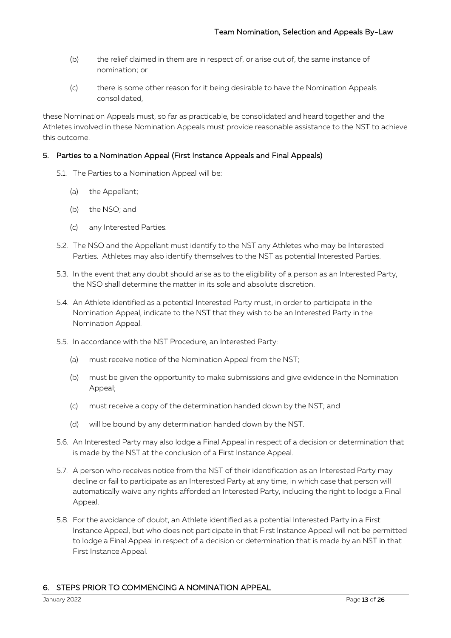- (b) the relief claimed in them are in respect of, or arise out of, the same instance of nomination; or
- (c) there is some other reason for it being desirable to have the Nomination Appeals consolidated,

these Nomination Appeals must, so far as practicable, be consolidated and heard together and the Athletes involved in these Nomination Appeals must provide reasonable assistance to the NST to achieve this outcome.

## 5. Parties to a Nomination Appeal (First Instance Appeals and Final Appeals)

- 5.1. The Parties to a Nomination Appeal will be:
	- (a) the Appellant;
	- (b) the NSO; and
	- (c) any Interested Parties.
- 5.2. The NSO and the Appellant must identify to the NST any Athletes who may be Interested Parties. Athletes may also identify themselves to the NST as potential Interested Parties.
- 5.3. In the event that any doubt should arise as to the eligibility of a person as an Interested Party, the NSO shall determine the matter in its sole and absolute discretion.
- <span id="page-12-0"></span>5.4. An Athlete identified as a potential Interested Party must, in order to participate in the Nomination Appeal, indicate to the NST that they wish to be an Interested Party in the Nomination Appeal.
- 5.5. In accordance with the NST Procedure, an Interested Party:
	- (a) must receive notice of the Nomination Appeal from the NST;
	- (b) must be given the opportunity to make submissions and give evidence in the Nomination Appeal;
	- (c) must receive a copy of the determination handed down by the NST; and
	- (d) will be bound by any determination handed down by the NST.
- 5.6. An Interested Party may also lodge a Final Appeal in respect of a decision or determination that is made by the NST at the conclusion of a First Instance Appeal.
- 5.7. A person who receives notice from the NST of their identification as an Interested Party may decline or fail to participate as an Interested Party at any time, in which case that person will automatically waive any rights afforded an Interested Party, including the right to lodge a Final Appeal.
- 5.8. For the avoidance of doubt, an Athlete identified as a potential Interested Party in a First Instance Appeal, but who does not participate in that First Instance Appeal will not be permitted to lodge a Final Appeal in respect of a decision or determination that is made by an NST in that First Instance Appeal.

## <span id="page-12-1"></span>6. STEPS PRIOR TO COMMENCING A NOMINATION APPEAL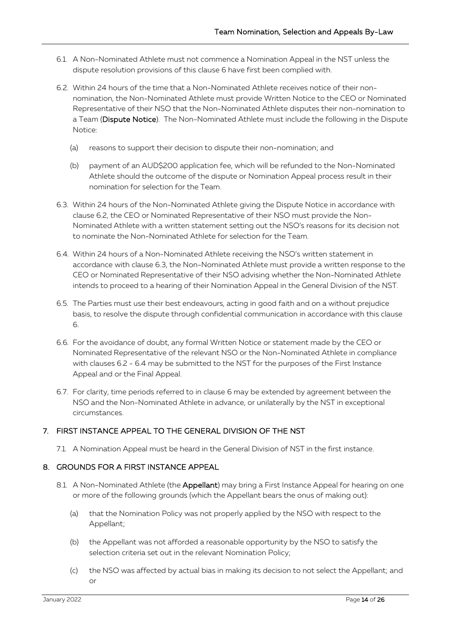- 6.1. A Non-Nominated Athlete must not commence a Nomination Appeal in the NST unless the dispute resolution provisions of this clause [6](#page-12-1) have first been complied with.
- <span id="page-13-0"></span>6.2. Within 24 hours of the time that a Non-Nominated Athlete receives notice of their nonnomination, the Non-Nominated Athlete must provide Written Notice to the CEO or Nominated Representative of their NSO that the Non-Nominated Athlete disputes their non-nomination to a Team (Dispute Notice). The Non-Nominated Athlete must include the following in the Dispute Notice:
	- (a) reasons to support their decision to dispute their non-nomination; and
	- (b) payment of an AUD\$200 application fee, which will be refunded to the Non-Nominated Athlete should the outcome of the dispute or Nomination Appeal process result in their nomination for selection for the Team.
- <span id="page-13-1"></span>6.3. Within 24 hours of the Non-Nominated Athlete giving the Dispute Notice in accordance with clause [6.2,](#page-13-0) the CEO or Nominated Representative of their NSO must provide the Non-Nominated Athlete with a written statement setting out the NSO's reasons for its decision not to nominate the Non-Nominated Athlete for selection for the Team.
- <span id="page-13-2"></span>6.4. Within 24 hours of a Non-Nominated Athlete receiving the NSO's written statement in accordance with clause [6.3,](#page-13-1) the Non-Nominated Athlete must provide a written response to the CEO or Nominated Representative of their NSO advising whether the Non-Nominated Athlete intends to proceed to a hearing of their Nomination Appeal in the General Division of the NST.
- 6.5. The Parties must use their best endeavours, acting in good faith and on a without prejudice basis, to resolve the dispute through confidential communication in accordance with this clause [6.](#page-12-1)
- 6.6. For the avoidance of doubt, any formal Written Notice or statement made by the CEO or Nominated Representative of the relevant NSO or the Non-Nominated Athlete in compliance with clauses [6.2](#page-13-0) - [6.4](#page-13-2) may be submitted to the NST for the purposes of the First Instance Appeal and or the Final Appeal.
- 6.7. For clarity, time periods referred to in clause [6](#page-12-1) may be extended by agreement between the NSO and the Non-Nominated Athlete in advance, or unilaterally by the NST in exceptional circumstances.

# <span id="page-13-3"></span>7. FIRST INSTANCE APPEAL TO THE GENERAL DIVISION OF THE NST

7.1. A Nomination Appeal must be heard in the General Division of NST in the first instance.

## 8. GROUNDS FOR A FIRST INSTANCE APPEAL

- 8.1. A Non-Nominated Athlete (the Appellant) may bring a First Instance Appeal for hearing on one or more of the following grounds (which the Appellant bears the onus of making out):
	- (a) that the Nomination Policy was not properly applied by the NSO with respect to the Appellant;
	- (b) the Appellant was not afforded a reasonable opportunity by the NSO to satisfy the selection criteria set out in the relevant Nomination Policy;
	- (c) the NSO was affected by actual bias in making its decision to not select the Appellant; and or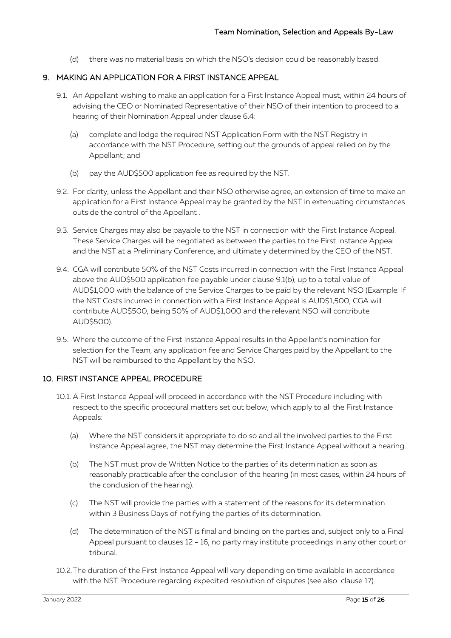(d) there was no material basis on which the NSO's decision could be reasonably based.

## 9. MAKING AN APPLICATION FOR A FIRST INSTANCE APPEAL

- <span id="page-14-0"></span>9.1. An Appellant wishing to make an application for a First Instance Appeal must, within 24 hours of advising the CEO or Nominated Representative of their NSO of their intention to proceed to a hearing of their Nomination Appeal under clause [6.4:](#page-13-2)
	- (a) complete and lodge the required NST Application Form with the NST Registry in accordance with the NST Procedure, setting out the grounds of appeal relied on by the Appellant; and
	- (b) pay the AUD\$500 application fee as required by the NST.
- <span id="page-14-1"></span>9.2. For clarity, unless the Appellant and their NSO otherwise agree, an extension of time to make an application for a First Instance Appeal may be granted by the NST in extenuating circumstances outside the control of the Appellant .
- 9.3. Service Charges may also be payable to the NST in connection with the First Instance Appeal. These Service Charges will be negotiated as between the parties to the First Instance Appeal and the NST at a Preliminary Conference, and ultimately determined by the CEO of the NST.
- 9.4. CGA will contribute 50% of the NST Costs incurred in connection with the First Instance Appeal above the AUD\$500 application fee payable under clause [9.1](#page-14-0)[\(b\),](#page-14-1) up to a total value of AUD\$1,000 with the balance of the Service Charges to be paid by the relevant NSO (Example: If the NST Costs incurred in connection with a First Instance Appeal is AUD\$1,500, CGA will contribute AUD\$500, being 50% of AUD\$1,000 and the relevant NSO will contribute AUD\$500).
- 9.5. Where the outcome of the First Instance Appeal results in the Appellant's nomination for selection for the Team, any application fee and Service Charges paid by the Appellant to the NST will be reimbursed to the Appellant by the NSO.

## 10. FIRST INSTANCE APPEAL PROCEDURE

- <span id="page-14-2"></span>10.1. A First Instance Appeal will proceed in accordance with the NST Procedure including with respect to the specific procedural matters set out below, which apply to all the First Instance Appeals:
	- (a) Where the NST considers it appropriate to do so and all the involved parties to the First Instance Appeal agree, the NST may determine the First Instance Appeal without a hearing.
	- (b) The NST must provide Written Notice to the parties of its determination as soon as reasonably practicable after the conclusion of the hearing (in most cases, within 24 hours of the conclusion of the hearing).
	- (c) The NST will provide the parties with a statement of the reasons for its determination within 3 Business Days of notifying the parties of its determination.
	- (d) The determination of the NST is final and binding on the parties and, subject only to a Final Appeal pursuant to clauses [12](#page-15-0) - [16,](#page-16-0) no party may institute proceedings in any other court or tribunal.
- 10.2.The duration of the First Instance Appeal will vary depending on time available in accordance with the NST Procedure regarding expedited resolution of disputes (see also clause [17\)](#page-17-0).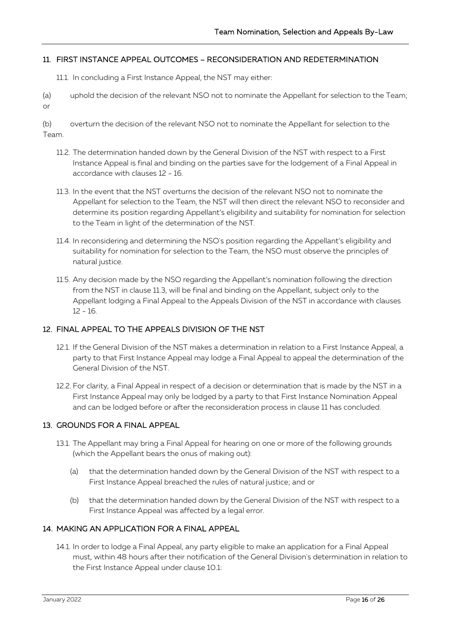#### <span id="page-15-2"></span>11. FIRST INSTANCE APPEAL OUTCOMES – RECONSIDERATION AND REDETERMINATION

- 11.1. In concluding a First Instance Appeal, the NST may either:
- (a) uphold the decision of the relevant NSO not to nominate the Appellant for selection to the Team; or
- <span id="page-15-1"></span>(b) overturn the decision of the relevant NSO not to nominate the Appellant for selection to the Team.
	- 11.2. The determination handed down by the General Division of the NST with respect to a First Instance Appeal is final and binding on the parties save for the lodgement of a Final Appeal in accordance with clauses [12](#page-15-0) - [16.](#page-16-0)
	- 11.3. In the event that the NST overturns the decision of the relevant NSO not to nominate the Appellant for selection to the Team, the NST will then direct the relevant NSO to reconsider and determine its position regarding Appellant's eligibility and suitability for nomination for selection to the Team in light of the determination of the NST.
	- 11.4. In reconsidering and determining the NSO's position regarding the Appellant's eligibility and suitability for nomination for selection to the Team, the NSO must observe the principles of natural justice.
	- 11.5. Any decision made by the NSO regarding the Appellant's nomination following the direction from the NST in clause [11.3,](#page-15-1) will be final and binding on the Appellant, subject only to the Appellant lodging a Final Appeal to the Appeals Division of the NST in accordance with clauses [12](#page-15-0) - [16.](#page-16-0)

## <span id="page-15-0"></span>12. FINAL APPEAL TO THE APPEALS DIVISION OF THE NST

- 12.1. If the General Division of the NST makes a determination in relation to a First Instance Appeal, a party to that First Instance Appeal may lodge a Final Appeal to appeal the determination of the General Division of the NST.
- 12.2. For clarity, a Final Appeal in respect of a decision or determination that is made by the NST in a First Instance Appeal may only be lodged by a party to that First Instance Nomination Appeal and can be lodged before or after the reconsideration process in clause [11](#page-15-2) has concluded.

#### 13. GROUNDS FOR A FINAL APPEAL

- 13.1. The Appellant may bring a Final Appeal for hearing on one or more of the following grounds (which the Appellant bears the onus of making out):
	- (a) that the determination handed down by the General Division of the NST with respect to a First Instance Appeal breached the rules of natural justice; and or
	- (b) that the determination handed down by the General Division of the NST with respect to a First Instance Appeal was affected by a legal error.

#### 14. MAKING AN APPLICATION FOR A FINAL APPEAL

<span id="page-15-3"></span>14.1. In order to lodge a Final Appeal, any party eligible to make an application for a Final Appeal must, within 48 hours after their notification of the General Division's determination in relation to the First Instance Appeal under claus[e 10.1:](#page-14-2)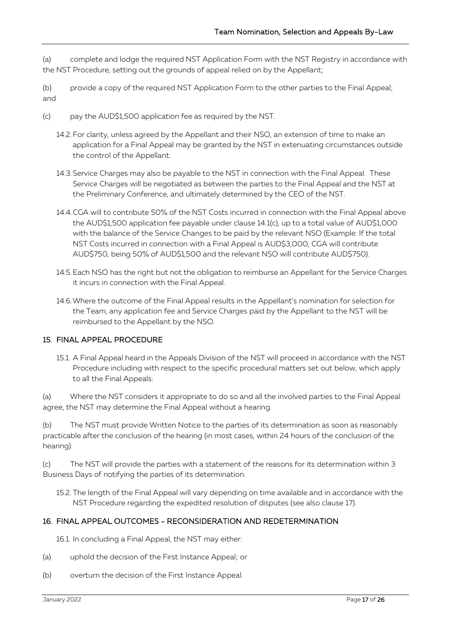(a) complete and lodge the required NST Application Form with the NST Registry in accordance with the NST Procedure, setting out the grounds of appeal relied on by the Appellant;

- (b) provide a copy of the required NST Application Form to the other parties to the Final Appeal; and
- <span id="page-16-1"></span>(c) pay the AUD\$1,500 application fee as required by the NST.
	- 14.2. For clarity, unless agreed by the Appellant and their NSO, an extension of time to make an application for a Final Appeal may be granted by the NST in extenuating circumstances outside the control of the Appellant.
	- 14.3.Service Charges may also be payable to the NST in connection with the Final Appeal. These Service Charges will be negotiated as between the parties to the Final Appeal and the NST at the Preliminary Conference, and ultimately determined by the CEO of the NST.
	- 14.4.CGA will to contribute 50% of the NST Costs incurred in connection with the Final Appeal above the AUD\$1,500 application fee payable under clause [14.1](#page-15-3)[\(c\),](#page-16-1) up to a total value of AUD\$1,000 with the balance of the Service Changes to be paid by the relevant NSO (Example: If the total NST Costs incurred in connection with a Final Appeal is AUD\$3,000, CGA will contribute AUD\$750, being 50% of AUD\$1,500 and the relevant NSO will contribute AUD\$750).
	- 14.5.Each NSO has the right but not the obligation to reimburse an Appellant for the Service Charges it incurs in connection with the Final Appeal.
	- 14.6.Where the outcome of the Final Appeal results in the Appellant's nomination for selection for the Team, any application fee and Service Charges paid by the Appellant to the NST will be reimbursed to the Appellant by the NSO.

## 15. FINAL APPEAL PROCEDURE

15.1. A Final Appeal heard in the Appeals Division of the NST will proceed in accordance with the NST Procedure including with respect to the specific procedural matters set out below, which apply to all the Final Appeals:

(a) Where the NST considers it appropriate to do so and all the involved parties to the Final Appeal agree, the NST may determine the Final Appeal without a hearing.

(b) The NST must provide Written Notice to the parties of its determination as soon as reasonably practicable after the conclusion of the hearing (in most cases, within 24 hours of the conclusion of the hearing).

(c) The NST will provide the parties with a statement of the reasons for its determination within 3 Business Days of notifying the parties of its determination.

15.2. The length of the Final Appeal will vary depending on time available and in accordance with the NST Procedure regarding the expedited resolution of disputes (see also clause [17\)](#page-17-0).

## <span id="page-16-0"></span>16. FINAL APPEAL OUTCOMES - RECONSIDERATION AND REDETERMINATION

16.1. In concluding a Final Appeal, the NST may either:

- (a) uphold the decision of the First Instance Appeal; or
- (b) overturn the decision of the First Instance Appeal.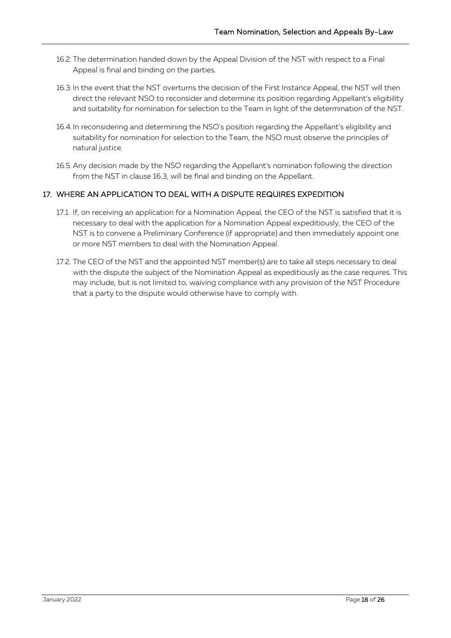- 16.2. The determination handed down by the Appeal Division of the NST with respect to a Final Appeal is final and binding on the parties.
- <span id="page-17-1"></span>16.3. In the event that the NST overturns the decision of the First Instance Appeal, the NST will then direct the relevant NSO to reconsider and determine its position regarding Appellant's eligibility and suitability for nomination for selection to the Team in light of the determination of the NST.
- 16.4.In reconsidering and determining the NSO's position regarding the Appellant's eligibility and suitability for nomination for selection to the Team, the NSO must observe the principles of natural justice.
- 16.5. Any decision made by the NSO regarding the Appellant's nomination following the direction from the NST in clause [16.3,](#page-17-1) will be final and binding on the Appellant.

# <span id="page-17-0"></span>17. WHERE AN APPLICATION TO DEAL WITH A DISPUTE REQUIRES EXPEDITION

- 17.1. If, on receiving an application for a Nomination Appeal, the CEO of the NST is satisfied that it is necessary to deal with the application for a Nomination Appeal expeditiously, the CEO of the NST is to convene a Preliminary Conference (if appropriate) and then immediately appoint one or more NST members to deal with the Nomination Appeal.
- 17.2. The CEO of the NST and the appointed NST member(s) are to take all steps necessary to deal with the dispute the subject of the Nomination Appeal as expeditiously as the case requires. This may include, but is not limited to, waiving compliance with any provision of the NST Procedure that a party to the dispute would otherwise have to comply with.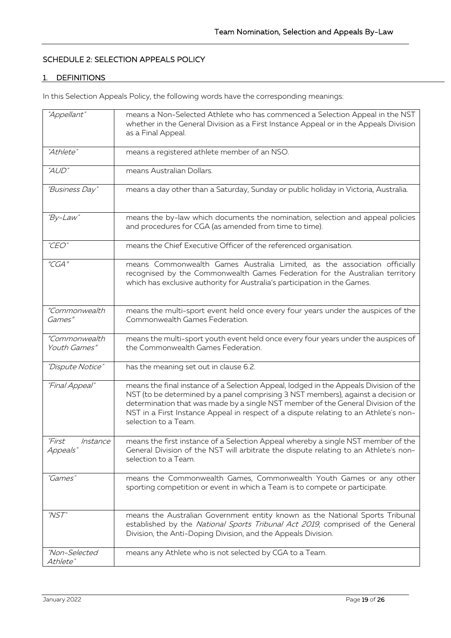# SCHEDULE 2: SELECTION APPEALS POLICY

## 1. DEFINITIONS

In this Selection Appeals Policy, the following words have the corresponding meanings:

| "Appellant"                    | means a Non-Selected Athlete who has commenced a Selection Appeal in the NST<br>whether in the General Division as a First Instance Appeal or in the Appeals Division<br>as a Final Appeal.                                                                                                                                                                                     |
|--------------------------------|---------------------------------------------------------------------------------------------------------------------------------------------------------------------------------------------------------------------------------------------------------------------------------------------------------------------------------------------------------------------------------|
| "Athlete"                      | means a registered athlete member of an NSO.                                                                                                                                                                                                                                                                                                                                    |
| "AUD"                          | means Australian Dollars.                                                                                                                                                                                                                                                                                                                                                       |
| "Business Day"                 | means a day other than a Saturday, Sunday or public holiday in Victoria, Australia.                                                                                                                                                                                                                                                                                             |
| "By-Law"                       | means the by-law which documents the nomination, selection and appeal policies<br>and procedures for CGA (as amended from time to time).                                                                                                                                                                                                                                        |
| "CEO"                          | means the Chief Executive Officer of the referenced organisation.                                                                                                                                                                                                                                                                                                               |
| "CGA"                          | means Commonwealth Games Australia Limited, as the association officially<br>recognised by the Commonwealth Games Federation for the Australian territory<br>which has exclusive authority for Australia's participation in the Games.                                                                                                                                          |
| "Commonwealth<br>Games"        | means the multi-sport event held once every four years under the auspices of the<br>Commonwealth Games Federation.                                                                                                                                                                                                                                                              |
| "Commonwealth<br>Youth Games"  | means the multi-sport youth event held once every four years under the auspices of<br>the Commonwealth Games Federation.                                                                                                                                                                                                                                                        |
| "Dispute Notice"               | has the meaning set out in clause 6.2.                                                                                                                                                                                                                                                                                                                                          |
| "Final Appeal"                 | means the final instance of a Selection Appeal, lodged in the Appeals Division of the<br>NST (to be determined by a panel comprising 3 NST members), against a decision or<br>determination that was made by a single NST member of the General Division of the<br>NST in a First Instance Appeal in respect of a dispute relating to an Athlete's non-<br>selection to a Team. |
| Instance<br>"First<br>Appeals' | means the first instance of a Selection Appeal whereby a single NST member of the<br>General Division of the NST will arbitrate the dispute relating to an Athlete's non-<br>selection to a Team.                                                                                                                                                                               |
| "Games"                        | means the Commonwealth Games, Commonwealth Youth Games or any other<br>sporting competition or event in which a Team is to compete or participate.                                                                                                                                                                                                                              |
| "NST"                          | means the Australian Government entity known as the National Sports Tribunal<br>established by the National Sports Tribunal Act 2019, comprised of the General<br>Division, the Anti-Doping Division, and the Appeals Division.                                                                                                                                                 |
| "Non-Selected<br>Athlete"      | means any Athlete who is not selected by CGA to a Team.                                                                                                                                                                                                                                                                                                                         |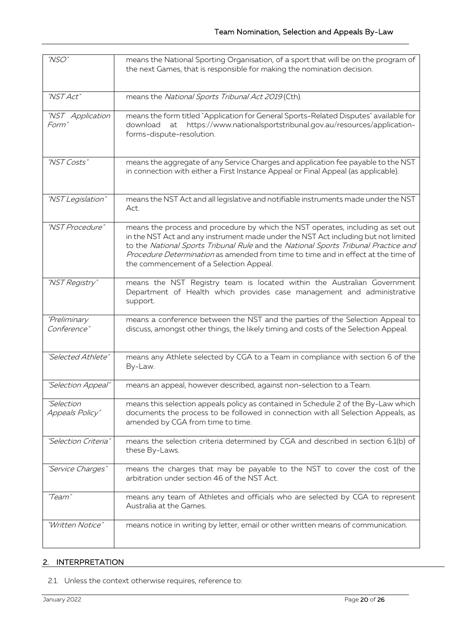| "NSO"                         | means the National Sporting Organisation, of a sport that will be on the program of<br>the next Games, that is responsible for making the nomination decision.                                                                                                                                                                                                                              |
|-------------------------------|---------------------------------------------------------------------------------------------------------------------------------------------------------------------------------------------------------------------------------------------------------------------------------------------------------------------------------------------------------------------------------------------|
| "NST Act"                     | means the National Sports Tribunal Act 2019 (Cth).                                                                                                                                                                                                                                                                                                                                          |
| "NST Application<br>Form"     | means the form titled "Application for General Sports-Related Disputes" available for<br>https://www.nationalsportstribunal.gov.au/resources/application-<br>download<br>at<br>forms-dispute-resolution.                                                                                                                                                                                    |
| "NST Costs"                   | means the aggregate of any Service Charges and application fee payable to the NST<br>in connection with either a First Instance Appeal or Final Appeal (as applicable).                                                                                                                                                                                                                     |
| "NST Legislation"             | means the NST Act and all legislative and notifiable instruments made under the NST<br>Act.                                                                                                                                                                                                                                                                                                 |
| "NST Procedure"               | means the process and procedure by which the NST operates, including as set out<br>in the NST Act and any instrument made under the NST Act including but not limited<br>to the National Sports Tribunal Rule and the National Sports Tribunal Practice and<br>Procedure Determination as amended from time to time and in effect at the time of<br>the commencement of a Selection Appeal. |
| "NST Registry"                | means the NST Registry team is located within the Australian Government<br>Department of Health which provides case management and administrative<br>support.                                                                                                                                                                                                                               |
| "Preliminary<br>Conference"   | means a conference between the NST and the parties of the Selection Appeal to<br>discuss, amongst other things, the likely timing and costs of the Selection Appeal.                                                                                                                                                                                                                        |
| "Selected Athlete"            | means any Athlete selected by CGA to a Team in compliance with section 6 of the<br>By-Law.                                                                                                                                                                                                                                                                                                  |
| "Selection Appeal"            | means an appeal, however described, against non-selection to a Team.                                                                                                                                                                                                                                                                                                                        |
| "Selection<br>Appeals Policy" | means this selection appeals policy as contained in Schedule 2 of the By-Law which<br>documents the process to be followed in connection with all Selection Appeals, as<br>amended by CGA from time to time.                                                                                                                                                                                |
| "Selection Criteria"          | means the selection criteria determined by CGA and described in section 6.1(b) of<br>these By-Laws.                                                                                                                                                                                                                                                                                         |
| "Service Charges"             | means the charges that may be payable to the NST to cover the cost of the<br>arbitration under section 46 of the NST Act.                                                                                                                                                                                                                                                                   |
| "Team"                        | means any team of Athletes and officials who are selected by CGA to represent<br>Australia at the Games.                                                                                                                                                                                                                                                                                    |
| "Written Notice"              | means notice in writing by letter, email or other written means of communication.                                                                                                                                                                                                                                                                                                           |

# 2. INTERPRETATION

2.1. Unless the context otherwise requires, reference to: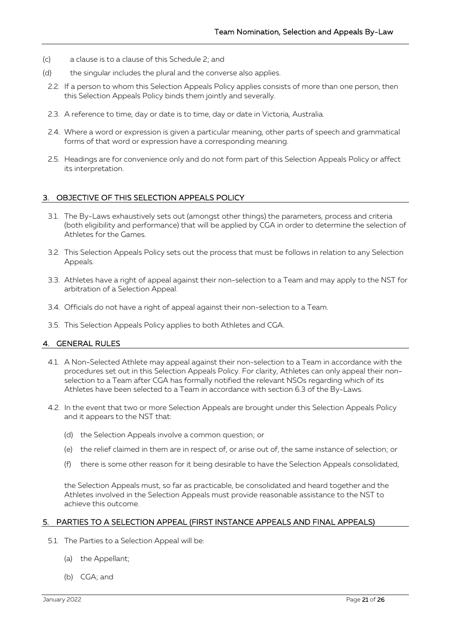- (c) a clause is to a clause of this Schedule 2; and
- (d) the singular includes the plural and the converse also applies.
- 2.2. If a person to whom this Selection Appeals Policy applies consists of more than one person, then this Selection Appeals Policy binds them jointly and severally.
- 2.3. A reference to time, day or date is to time, day or date in Victoria, Australia.
- 2.4. Where a word or expression is given a particular meaning, other parts of speech and grammatical forms of that word or expression have a corresponding meaning.
- 2.5. Headings are for convenience only and do not form part of this Selection Appeals Policy or affect its interpretation.

## 3. OBJECTIVE OF THIS SELECTION APPEALS POLICY

- 3.1. The By-Laws exhaustively sets out (amongst other things) the parameters, process and criteria (both eligibility and performance) that will be applied by CGA in order to determine the selection of Athletes for the Games.
- 3.2. This Selection Appeals Policy sets out the process that must be follows in relation to any Selection Appeals.
- 3.3. Athletes have a right of appeal against their non-selection to a Team and may apply to the NST for arbitration of a Selection Appeal.
- 3.4. Officials do not have a right of appeal against their non-selection to a Team.
- 3.5. This Selection Appeals Policy applies to both Athletes and CGA.

#### 4. GENERAL RULES

- 4.1. A Non-Selected Athlete may appeal against their non-selection to a Team in accordance with the procedures set out in this Selection Appeals Policy. For clarity, Athletes can only appeal their nonselection to a Team after CGA has formally notified the relevant NSOs regarding which of its Athletes have been selected to a Team in accordance with section 6.3 of the By-Laws.
- 4.2. In the event that two or more Selection Appeals are brought under this Selection Appeals Policy and it appears to the NST that:
	- (d) the Selection Appeals involve a common [question; or](http://www.austlii.edu.au/au/legis/nsw/consol_reg/ucpr2005305/s1.21.html#question)
	- (e) the relief claimed in them are in respect of, or arise out of, the same instance of selection; or
	- (f) there is some other reason for it being desirable to have the Selection Appeals consolidated,

the Selection Appeals must, so far as practicable, be consolidated and heard together and the Athletes involved in the Selection Appeals must provide reasonable assistance to the NST to achieve this outcome.

#### 5. PARTIES TO A SELECTION APPEAL (FIRST INSTANCE APPEALS AND FINAL APPEALS)

- 5.1. The Parties to a Selection Appeal will be:
	- (a) the Appellant;
	- (b) CGA; and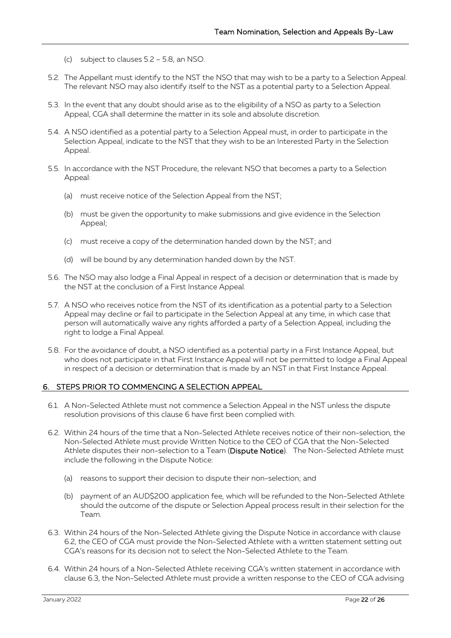- (c) subject to clauses [5.2](#page-21-1) [5.8,](#page-21-2) an NSO.
- <span id="page-21-1"></span>5.2. The Appellant must identify to the NST the NSO that may wish to be a party to a Selection Appeal. The relevant NSO may also identify itself to the NST as a potential party to a Selection Appeal.
- 5.3. In the event that any doubt should arise as to the eligibility of a NSO as party to a Selection Appeal, CGA shall determine the matter in its sole and absolute discretion.
- 5.4. A NSO identified as a potential party to a Selection Appeal must, in order to participate in the Selection Appeal, indicate to the NST that they wish to be an Interested Party in the Selection Appeal.
- 5.5. In accordance with the NST Procedure, the relevant NSO that becomes a party to a Selection Appeal:
	- (a) must receive notice of the Selection Appeal from the NST;
	- (b) must be given the opportunity to make submissions and give evidence in the Selection Appeal;
	- (c) must receive a copy of the determination handed down by the NST; and
	- (d) will be bound by any determination handed down by the NST.
- 5.6. The NSO may also lodge a Final Appeal in respect of a decision or determination that is made by the NST at the conclusion of a First Instance Appeal.
- 5.7. A NSO who receives notice from the NST of its identification as a potential party to a Selection Appeal may decline or fail to participate in the Selection Appeal at any time, in which case that person will automatically waive any rights afforded a party of a Selection Appeal, including the right to lodge a Final Appeal.
- <span id="page-21-2"></span>5.8. For the avoidance of doubt, a NSO identified as a potential party in a First Instance Appeal, but who does not participate in that First Instance Appeal will not be permitted to lodge a Final Appeal in respect of a decision or determination that is made by an NST in that First Instance Appeal.

#### <span id="page-21-3"></span>6. STEPS PRIOR TO COMMENCING A SELECTION APPEAL

- 6.1. A Non-Selected Athlete must not commence a Selection Appeal in the NST unless the dispute resolution provisions of this clause [6](#page-21-3) have first been complied with.
- <span id="page-21-0"></span>6.2. Within 24 hours of the time that a Non-Selected Athlete receives notice of their non-selection, the Non-Selected Athlete must provide Written Notice to the CEO of CGA that the Non-Selected Athlete disputes their non-selection to a Team (Dispute Notice). The Non-Selected Athlete must include the following in the Dispute Notice:
	- (a) reasons to support their decision to dispute their non-selection; and
	- (b) payment of an AUD\$200 application fee, which will be refunded to the Non-Selected Athlete should the outcome of the dispute or Selection Appeal process result in their selection for the Team.
- <span id="page-21-4"></span>6.3. Within 24 hours of the Non-Selected Athlete giving the Dispute Notice in accordance with clause [6.2,](#page-21-0) the CEO of CGA must provide the Non-Selected Athlete with a written statement setting out CGA's reasons for its decision not to select the Non-Selected Athlete to the Team.
- <span id="page-21-5"></span>6.4. Within 24 hours of a Non-Selected Athlete receiving CGA's written statement in accordance with clause [6.3,](#page-21-4) the Non-Selected Athlete must provide a written response to the CEO of CGA advising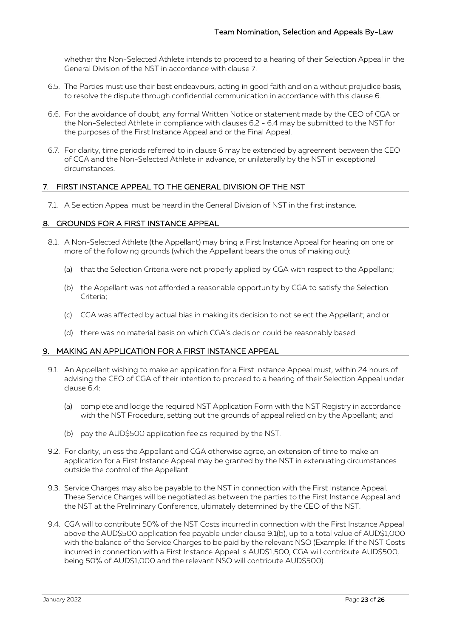whether the Non-Selected Athlete intends to proceed to a hearing of their Selection Appeal in the General Division of the NST in accordance with clause [7.](#page-13-3)

- 6.5. The Parties must use their best endeavours, acting in good faith and on a without prejudice basis, to resolve the dispute through confidential communication in accordance with this clause [6.](#page-21-3)
- 6.6. For the avoidance of doubt, any formal Written Notice or statement made by the CEO of CGA or the Non-Selected Athlete in compliance with clauses [6.2](#page-21-0) - [6.4](#page-21-5) may be submitted to the NST for the purposes of the First Instance Appeal and or the Final Appeal.
- 6.7. For clarity, time periods referred to in claus[e 6](#page-21-3) may be extended by agreement between the CEO of CGA and the Non-Selected Athlete in advance, or unilaterally by the NST in exceptional circumstances.

#### 7. FIRST INSTANCE APPEAL TO THE GENERAL DIVISION OF THE NST

7.1. A Selection Appeal must be heard in the General Division of NST in the first instance.

#### 8. GROUNDS FOR A FIRST INSTANCE APPEAL

- 8.1. A Non-Selected Athlete (the Appellant) may bring a First Instance Appeal for hearing on one or more of the following grounds (which the Appellant bears the onus of making out):
	- (a) that the Selection Criteria were not properly applied by CGA with respect to the Appellant;
	- (b) the Appellant was not afforded a reasonable opportunity by CGA to satisfy the Selection Criteria;
	- (c) CGA was affected by actual bias in making its decision to not select the Appellant; and or
	- (d) there was no material basis on which CGA's decision could be reasonably based.

#### 9. MAKING AN APPLICATION FOR A FIRST INSTANCE APPEAL

- <span id="page-22-0"></span>9.1. An Appellant wishing to make an application for a First Instance Appeal must, within 24 hours of advising the CEO of CGA of their intention to proceed to a hearing of their Selection Appeal under  $cl$ ause 64 $\cdot$ 
	- (a) complete and lodge the required NST Application Form with the NST Registry in accordance with the NST Procedure, setting out the grounds of appeal relied on by the Appellant; and
	- (b) pay the AUD\$500 application fee as required by the NST.
- <span id="page-22-1"></span>9.2. For clarity, unless the Appellant and CGA otherwise agree, an extension of time to make an application for a First Instance Appeal may be granted by the NST in extenuating circumstances outside the control of the Appellant.
- 9.3. Service Charges may also be payable to the NST in connection with the First Instance Appeal. These Service Charges will be negotiated as between the parties to the First Instance Appeal and the NST at the Preliminary Conference, ultimately determined by the CEO of the NST.
- 9.4. CGA will to contribute 50% of the NST Costs incurred in connection with the First Instance Appeal above the AUD\$500 application fee payable under clause [9.1](#page-22-0)[\(b\),](#page-22-1) up to a total value of AUD\$1,000 with the balance of the Service Charges to be paid by the relevant NSO (Example: If the NST Costs incurred in connection with a First Instance Appeal is AUD\$1,500, CGA will contribute AUD\$500, being 50% of AUD\$1,000 and the relevant NSO will contribute AUD\$500).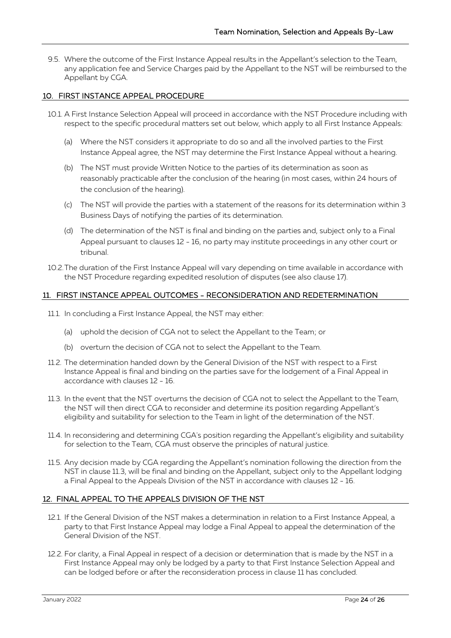9.5. Where the outcome of the First Instance Appeal results in the Appellant's selection to the Team, any application fee and Service Charges paid by the Appellant to the NST will be reimbursed to the Appellant by CGA.

#### 10. FIRST INSTANCE APPEAL PROCEDURE

- <span id="page-23-1"></span>10.1. A First Instance Selection Appeal will proceed in accordance with the NST Procedure including with respect to the specific procedural matters set out below, which apply to all First Instance Appeals:
	- (a) Where the NST considers it appropriate to do so and all the involved parties to the First Instance Appeal agree, the NST may determine the First Instance Appeal without a hearing.
	- (b) The NST must provide Written Notice to the parties of its determination as soon as reasonably practicable after the conclusion of the hearing (in most cases, within 24 hours of the conclusion of the hearing).
	- (c) The NST will provide the parties with a statement of the reasons for its determination within 3 Business Days of notifying the parties of its determination.
	- (d) The determination of the NST is final and binding on the parties and, subject only to a Final Appeal pursuant to clauses [12](#page-15-0) - [16,](#page-25-0) no party may institute proceedings in any other court or tribunal.
- 10.2.The duration of the First Instance Appeal will vary depending on time available in accordance with the NST Procedure regarding expedited resolution of disputes (see also clause [17\)](#page-25-1).

## <span id="page-23-0"></span>11. FIRST INSTANCE APPEAL OUTCOMES - RECONSIDERATION AND REDETERMINATION

- 11.1. In concluding a First Instance Appeal, the NST may either:
	- (a) uphold the decision of CGA not to select the Appellant to the Team; or
	- (b) overturn the decision of CGA not to select the Appellant to the Team.
- 11.2. The determination handed down by the General Division of the NST with respect to a First Instance Appeal is final and binding on the parties save for the lodgement of a Final Appeal in accordance with clauses [12](#page-15-0) - [16.](#page-25-0)
- 11.3. In the event that the NST overturns the decision of CGA not to select the Appellant to the Team, the NST will then direct CGA to reconsider and determine its position regarding Appellant's eligibility and suitability for selection to the Team in light of the determination of the NST.
- 11.4. In reconsidering and determining CGA's position regarding the Appellant's eligibility and suitability for selection to the Team, CGA must observe the principles of natural justice.
- 11.5. Any decision made by CGA regarding the Appellant's nomination following the direction from the NST in clause [11.3,](#page-15-1) will be final and binding on the Appellant, subject only to the Appellant lodging a Final Appeal to the Appeals Division of the NST in accordance with clauses [12](#page-15-0) - [16.](#page-25-0)

#### 12. FINAL APPEAL TO THE APPEALS DIVISION OF THE NST

- 12.1. If the General Division of the NST makes a determination in relation to a First Instance Appeal, a party to that First Instance Appeal may lodge a Final Appeal to appeal the determination of the General Division of the NST.
- 12.2. For clarity, a Final Appeal in respect of a decision or determination that is made by the NST in a First Instance Appeal may only be lodged by a party to that First Instance Selection Appeal and can be lodged before or after the reconsideration process in clause [11](#page-23-0) has concluded.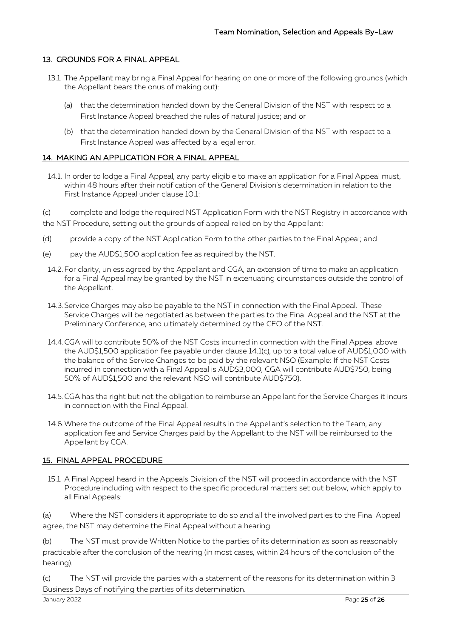#### 13. GROUNDS FOR A FINAL APPEAL

- 13.1. The Appellant may bring a Final Appeal for hearing on one or more of the following grounds (which the Appellant bears the onus of making out):
	- (a) that the determination handed down by the General Division of the NST with respect to a First Instance Appeal breached the rules of natural justice; and or
	- (b) that the determination handed down by the General Division of the NST with respect to a First Instance Appeal was affected by a legal error.

#### 14. MAKING AN APPLICATION FOR A FINAL APPEAL

- <span id="page-24-0"></span>14.1. In order to lodge a Final Appeal, any party eligible to make an application for a Final Appeal must, within 48 hours after their notification of the General Division's determination in relation to the First Instance Appeal under clause [10.1:](#page-23-1)
- (c) complete and lodge the required NST Application Form with the NST Registry in accordance with the NST Procedure, setting out the grounds of appeal relied on by the Appellant;
- (d) provide a copy of the NST Application Form to the other parties to the Final Appeal; and
- <span id="page-24-1"></span>(e) pay the AUD\$1,500 application fee as required by the NST.
- 14.2. For clarity, unless agreed by the Appellant and CGA, an extension of time to make an application for a Final Appeal may be granted by the NST in extenuating circumstances outside the control of the Appellant.
- 14.3.Service Charges may also be payable to the NST in connection with the Final Appeal. These Service Charges will be negotiated as between the parties to the Final Appeal and the NST at the Preliminary Conference, and ultimately determined by the CEO of the NST.
- 14.4.CGA will to contribute 50% of the NST Costs incurred in connection with the Final Appeal above the AUD\$1,500 application fee payable under clause [14.1](#page-24-0)[\(c\),](#page-24-1) up to a total value of AUD\$1,000 with the balance of the Service Changes to be paid by the relevant NSO (Example: If the NST Costs incurred in connection with a Final Appeal is AUD\$3,000, CGA will contribute AUD\$750, being 50% of AUD\$1,500 and the relevant NSO will contribute AUD\$750).
- 14.5.CGA has the right but not the obligation to reimburse an Appellant for the Service Charges it incurs in connection with the Final Appeal.
- 14.6.Where the outcome of the Final Appeal results in the Appellant's selection to the Team, any application fee and Service Charges paid by the Appellant to the NST will be reimbursed to the Appellant by CGA.

#### 15. FINAL APPEAL PROCEDURE

15.1. A Final Appeal heard in the Appeals Division of the NST will proceed in accordance with the NST Procedure including with respect to the specific procedural matters set out below, which apply to all Final Appeals:

(a) Where the NST considers it appropriate to do so and all the involved parties to the Final Appeal agree, the NST may determine the Final Appeal without a hearing.

(b) The NST must provide Written Notice to the parties of its determination as soon as reasonably practicable after the conclusion of the hearing (in most cases, within 24 hours of the conclusion of the hearing).

(c) The NST will provide the parties with a statement of the reasons for its determination within 3 Business Days of notifying the parties of its determination.